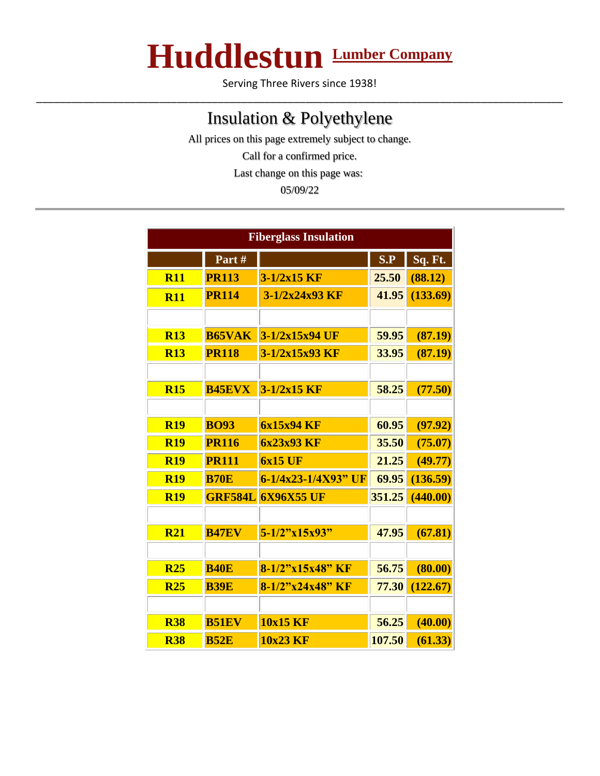## **Huddlestun Lumber Company**

Serving Three Rivers since 1938! \_\_\_\_\_\_\_\_\_\_\_\_\_\_\_\_\_\_\_\_\_\_\_\_\_\_\_\_\_\_\_\_\_\_\_\_\_\_\_\_\_\_\_\_\_\_\_\_\_\_\_\_\_\_\_\_\_\_\_\_\_\_\_\_\_\_\_\_\_\_\_\_\_\_\_\_\_\_\_\_\_\_\_\_\_\_\_\_\_\_

## Insulation & Polyethylene

All prices on this page extremely subject to change. Call for a confirmed price. Last change on this page was: 05/09/22

| <b>Fiberglass Insulation</b> |                |                     |        |          |  |
|------------------------------|----------------|---------------------|--------|----------|--|
|                              | Part#          |                     | S.P    | Sq. Ft.  |  |
| R11                          | <b>PR113</b>   | $3-1/2x15$ KF       | 25.50  | (88.12)  |  |
| <b>R11</b>                   | <b>PR114</b>   | 3-1/2x24x93 KF      | 41.95  | (133.69) |  |
|                              |                |                     |        |          |  |
| <b>R13</b>                   | <b>B65VAK</b>  | 3-1/2x15x94 UF      | 59.95  | (87.19)  |  |
| <b>R13</b>                   | <b>PR118</b>   | 3-1/2x15x93 KF      | 33.95  | (87.19)  |  |
|                              |                |                     |        |          |  |
| <b>R15</b>                   | <b>B45EVX</b>  | $3 - 1/2x15$ KF     | 58.25  | (77.50)  |  |
|                              |                |                     |        |          |  |
| <b>R19</b>                   | <b>BO93</b>    | 6x15x94 KF          | 60.95  | (97.92)  |  |
| <b>R19</b>                   | <b>PR116</b>   | 6x23x93 KF          | 35.50  | (75.07)  |  |
| <b>R19</b>                   | <b>PR111</b>   | <b>6x15 UF</b>      | 21.25  | (49.77)  |  |
| <b>R19</b>                   | <b>B70E</b>    | 6-1/4x23-1/4X93" UF | 69.95  | (136.59) |  |
| <b>R19</b>                   | <b>GRF584L</b> | <b>6X96X55 UF</b>   | 351.25 | (440.00) |  |
|                              |                |                     |        |          |  |
| <b>R21</b>                   | <b>B47EV</b>   | $5 - 1/2$ "x15x93"  | 47.95  | (67.81)  |  |
|                              |                |                     |        |          |  |
| <b>R25</b>                   | <b>B40E</b>    | 8-1/2"x15x48" KF    | 56.75  | (80.00)  |  |
| <b>R25</b>                   | <b>B39E</b>    | $8-1/2"x24x48"$ KF  | 77.30  | (122.67) |  |
|                              |                |                     |        |          |  |
| <b>R38</b>                   | <b>B51EV</b>   | 10x15 KF            | 56.25  | (40.00)  |  |
| <b>R38</b>                   | <b>B52E</b>    | 10x23 KF            | 107.50 | (61.33)  |  |